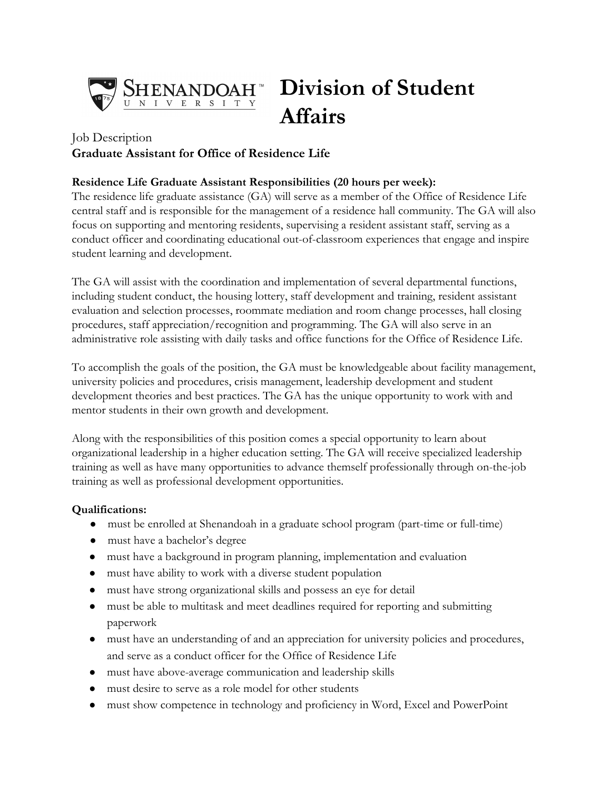

# **Division of Student Affairs**

## Job Description **Graduate Assistant for Office of Residence Life**

#### **Residence Life Graduate Assistant Responsibilities (20 hours per week):**

The residence life graduate assistance (GA) will serve as a member of the Office of Residence Life central staff and is responsible for the management of a residence hall community. The GA will also focus on supporting and mentoring residents, supervising a resident assistant staff, serving as a conduct officer and coordinating educational out-of-classroom experiences that engage and inspire student learning and development.

The GA will assist with the coordination and implementation of several departmental functions, including student conduct, the housing lottery, staff development and training, resident assistant evaluation and selection processes, roommate mediation and room change processes, hall closing procedures, staff appreciation/recognition and programming. The GA will also serve in an administrative role assisting with daily tasks and office functions for the Office of Residence Life.

To accomplish the goals of the position, the GA must be knowledgeable about facility management, university policies and procedures, crisis management, leadership development and student development theories and best practices. The GA has the unique opportunity to work with and mentor students in their own growth and development.

Along with the responsibilities of this position comes a special opportunity to learn about organizational leadership in a higher education setting. The GA will receive specialized leadership training as well as have many opportunities to advance themself professionally through on-the-job training as well as professional development opportunities.

#### **Qualifications:**

- must be enrolled at Shenandoah in a graduate school program (part-time or full-time)
- must have a bachelor's degree
- must have a background in program planning, implementation and evaluation
- must have ability to work with a diverse student population
- must have strong organizational skills and possess an eye for detail
- must be able to multitask and meet deadlines required for reporting and submitting paperwork
- must have an understanding of and an appreciation for university policies and procedures, and serve as a conduct officer for the Office of Residence Life
- must have above-average communication and leadership skills
- must desire to serve as a role model for other students
- must show competence in technology and proficiency in Word, Excel and PowerPoint